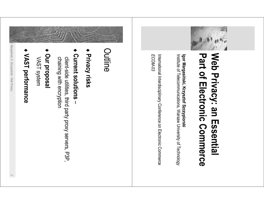

## Web Privacy: an Essential Part of Electronic Commerce

Institute of Telecommunications, Warsaw University of Technology Igor Margasiński, Krzysztof Szczypiorski

International Interdisciplinary Conference on Electronic Commerce ECOM-03



- + Privacy risks
- **Current solutions**

chaining with encryption client-side utilities, third party proxy servers, P3P,

- Our proposal VAST system
- VAST performance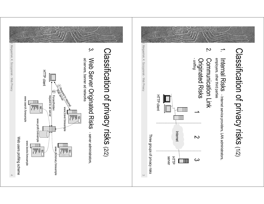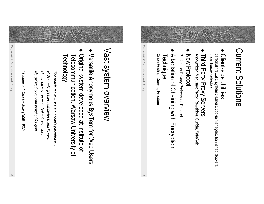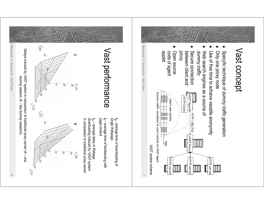